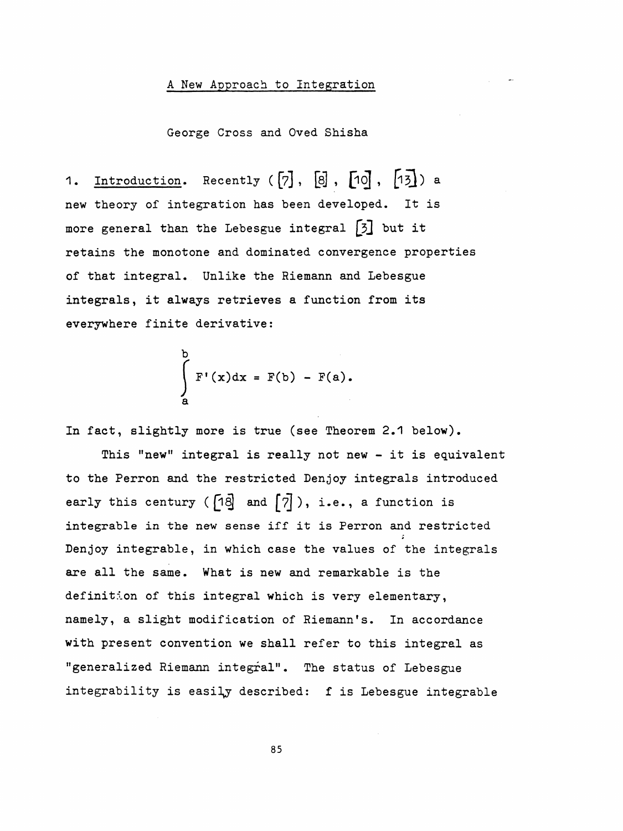## A New Approach to Integration

George Cross and Oved Shisha

1. Introduction. Recently  $([7], [8], [10], [15])$  a new theory of integration has been developed. It is more general than the Lebesgue integral  $\begin{bmatrix} 3 \end{bmatrix}$  but it retains the monotone and dominated convergence properties of that integral. Unlike the Riemann and Lebesgue integrals, it always retrieves a function from its everywhere finite derivative:

$$
\int_{a}^{b} F'(x) dx = F(b) - F(a).
$$

In fact, slightly more is true (see Theorem 2.1 below).

 This "new" integral is really not new - it is equivalent to the Perron and the restricted Denjoy integrals introduced early this century ( $\begin{bmatrix} 1 & 0 \\ 0 & 0 \end{bmatrix}$  and  $\begin{bmatrix} 7 \\ 7 \end{bmatrix}$ ), i.e., a function is integrable in the new sense iff it is Perron and restricted Den joy integrable, in which case the values of the integrals are all the same. What is new and remarkable is the definition of this integral which is very elementary, namely, a slight modification of Riemann's. In accordance with present convention we shall refer to this integral as "generalized Riemann integral". The status of Lebesgue integrability is easily described:  $f$  is Lebesgue integrable

85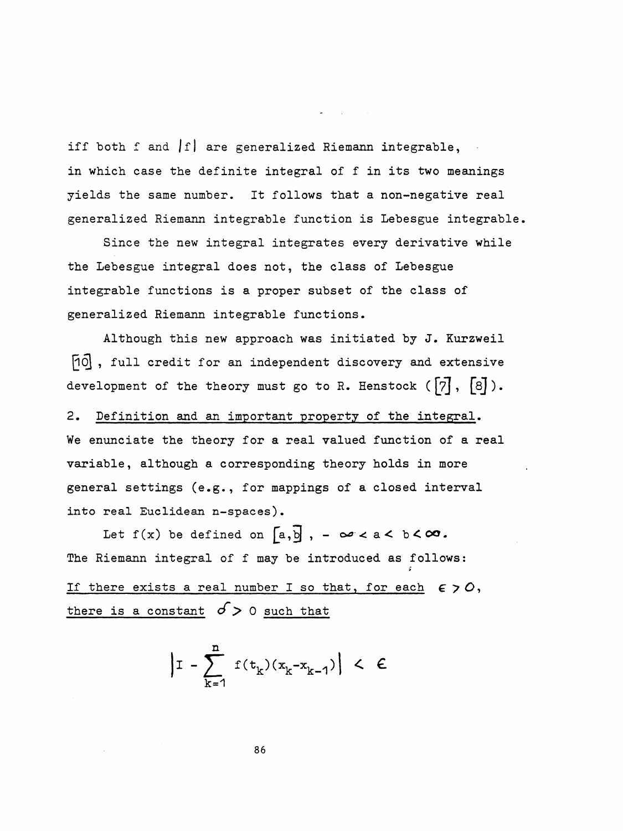iff both f and  $|f|$  are generalized Riemann integrable, in which case the definite integral of f in its two meanings yields the same number. It follows that a non-negative real generalized Riemann integrable function is Lebesgue integrable.

 Since the new integral integrates every derivative while the Lebesgue integral does not, the class of Lebesgue integrable functions is a proper subset of the class of generalized Riemann integrable functions.

 Although this new approach was initiated by J. Kurzweil [10], full credit for an independent discovery and extensive development of the theory must go to R. Henstock  $([7], [8])$ .

 2. Definition and an important property of the integral. We enunciate the theory for a real valued function of a real variable, although a corresponding theory holds in more general settings (e.g., for mappings of a closed interval into real Euclidean n-spaces).

Let  $f(x)$  be defined on  $[a, b]$ ,  $-\infty < a < b < \infty$ . The Riemann integral of f may be introduced as follows: > If there exists a real number I so that, for each  $\epsilon > 0$ , there is a constant  $\sigma$  > 0 such that

$$
\left| \mathbf{I} - \sum_{k=1}^{n} f(t_k)(x_k - x_{k-1}) \right| < \epsilon
$$

86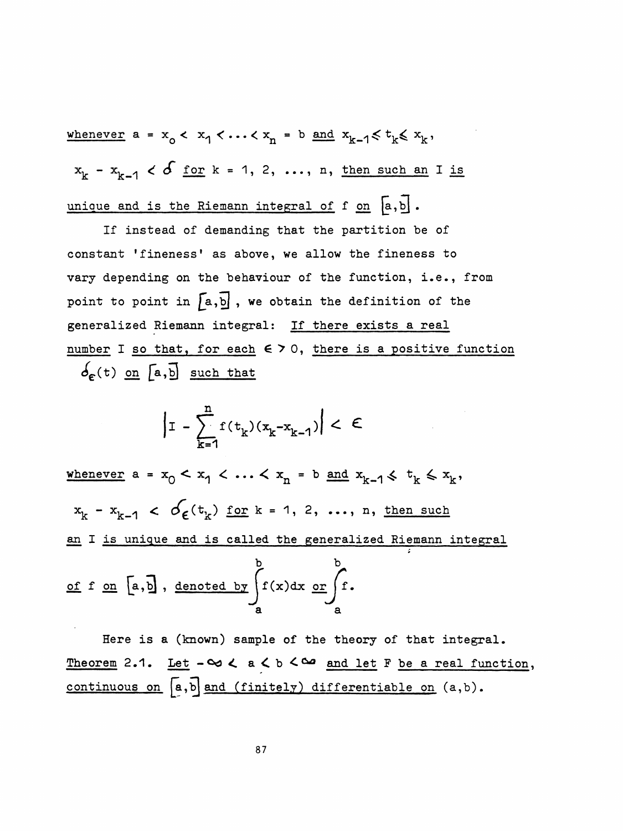whenever  $a = x_0 < x_1 < \cdots < x_n = b$  and  $x_{k-1} \leq t_k \leq x_k$ ,  $x^k - x^k - 1$   $\leq \delta$  for  $k = 1, 2, ..., n$ , then such an I is unique and is the Riemann integral of  $f$  on  $[a, b]$ .

 If instead of demanding that the partition be of constant 'fineness' as above, we allow the fineness to vary depending on the behaviour of the function, i.e., from point to point in  $[a,b]$ , we obtain the definition of the generalized Riemann integral: If there exists a real number I so that, for each  $\epsilon > 0$ , there is a positive function  $\delta_{\epsilon}$ (t) on [a, b] such that

$$
\left|1 - \sum_{k=1}^{n} f(t_k)(x_k - x_{k-1})\right| < \epsilon
$$

whenever  $a = x_0 < x_1 < \ldots < x_n = b$  and  $x_{k-1} \leq t_k \leq x_k$ ,  $x_k - x_{k-1} < \mathcal{O}_\epsilon(t_k)$  for  $k = 1, 2, ..., n$ , then such an I is unique and is called the generalized Riemann integral<br>  $\begin{matrix}\nb\end{matrix}$ of f one  $\int_a^b$  , denoted by  $\int_a^f(x)dx \underbrace{\text{or}}_{a}$ 

 Here is a (known) sample of the theory of that integral. Theorem 2.1. Let  $-\infty < a < b < \infty$  and let F be a real function, continuous on  $[a, b]$  and (finitely) differentiable on  $(a, b)$ .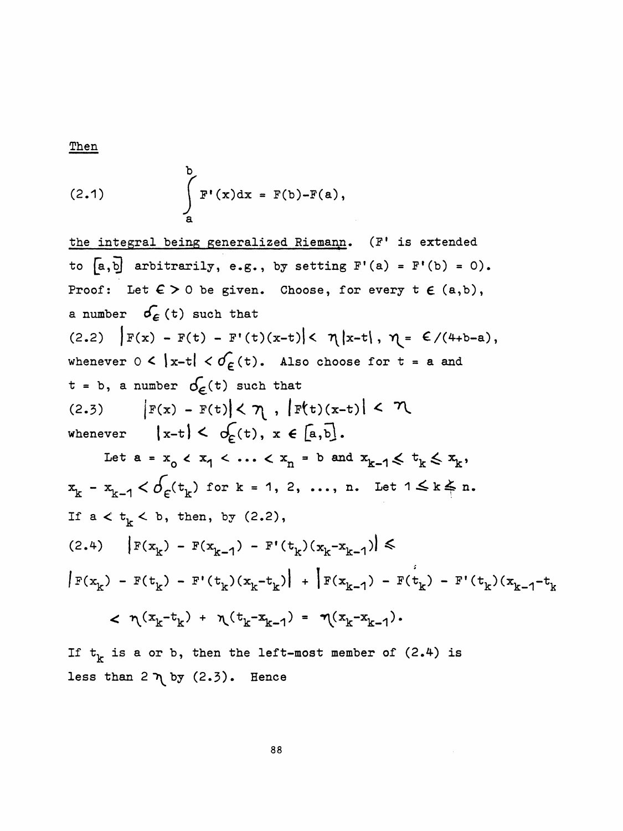Then

(2.1) 
$$
\int_{a}^{b} F'(x) dx = F(b) - F(a),
$$

the integral being generalized Riemann. (F' is extended to  $[a, b]$  arbitrarily, e.g., by setting  $F'(a) = F'(b) = 0$ ). Proof: Let  $\epsilon > 0$  be given. Choose, for every  $t \in (a,b)$ , a number  $\sigma_{\epsilon}$  (t) such that (2.2)  $|F(x) - F(t) - F'(t)(x-t)| < \eta |x-t|, \eta = \frac{\varepsilon}{(4+b-a)},$ whenever  $0 < |x-t| < \sigma \in (t)$ . Also choose for  $t = a$  and  $t = b$ , a number  $\sigma_{\epsilon}(t)$  such that (2.3)  $|F(x) - F(t)| < \eta$ ,  $|F(t)(x-t)| < \eta$  $\left(x-t\right) < \sigma_{\epsilon}(t), x \in \left[a,b\right].$ whenever Let  $a = x_0 < x_1 < ... < x_n = b$  and  $x_{k-1} \leq t_k \leq x_k$ ,  $x_k - x_{k-1} < \delta_{\epsilon}(t_k)$  for  $k = 1, 2, ..., n$ . Let  $1 \le k \le n$ . If  $a < t_{k} < b$ , then, by (2.2),  $(2.4)$   $\left| F(x_k) - F(x_{k-1}) - F'(t_k)(x_k - x_{k-1}) \right| \leq$  $|F(x_k) - F(t_k) - F'(t_k)(x_k - t_k)| + |F(x_{k-1}) - F(t_k) - F'(t_k)(x_{k-1} - t_k)|$  $< \eta(x_k-t_k) + \eta(t_k-x_{k-1}) = \eta(x_k-x_{k-1}).$ 

If  $t_k$  is a or b, then the left-most member of (2.4) is less than  $2 \nightharpoondown$  by  $(2.3)$ . Hence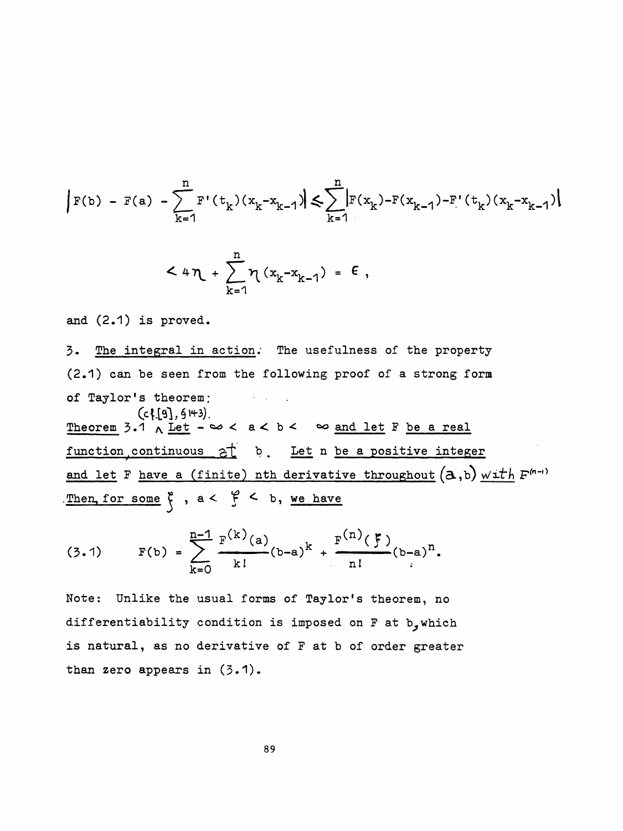$$
|F(b) - F(a) - \sum_{k=1}^{n} F'(t_k)(x_k - x_{k-1})| \leq \sum_{k=1}^{n} |F(x_k) - F(x_{k-1}) - F'(t_k)(x_k - x_{k-1})|
$$

$$
< 4\eta + \sum_{k=1}^{n} \eta (x_k - x_{k-1}) = \epsilon
$$
,

and (2.1) is proved.

 3. The integral in action; The usefulness of the property (2.1) can be seen from the following proof of a strong form of Taylor's theorem;  $\sim 40\,$  km s  $^{-1}$  $($ cf.[9], 9 43). Theorem 3.1  $\land$  Let  $-\infty < a < b < \infty$  and let F be a real function continuous  $\frac{1}{2}$  b. Let n be a positive integer and let F have a (finite) nth derivative throughout  $(a,b)$  with  $F^{(n-i)}$ . Then, for some  $\zeta$ ,  $a < \zeta < b$ , we have

(3.1) 
$$
F(b) = \sum_{k=0}^{n-1} \frac{F^{(k)}(a)}{k!} (b-a)^k + \frac{F^{(n)}(\xi)}{n!} (b-a)^n.
$$

 Note: Unlike the usual forms of Taylor's theorem, no differentiability condition is imposed on F at b, which is natural, as no derivative of F at b of order greater than zero appears in (3.1).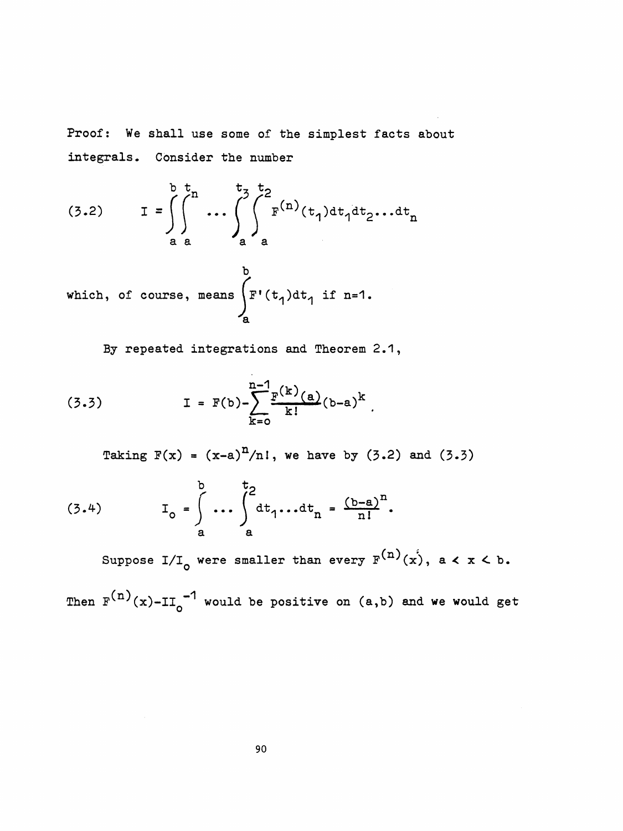Proof: We shall use some of the simplest facts about Consider the number integrals.

(3.2) 
$$
I = \int_{a}^{b} \int_{a}^{t} \cdots \int_{a}^{t} \int_{a}^{t} F^{(n)}(t_{1}) dt_{1} dt_{2} \cdots dt_{n}
$$

which, of course, means  $\int_{-}^{b} F'(t_1) dt_1$  if n=1.

By repeated integrations and Theorem 2.1,

(3.3) 
$$
I = F(b) - \sum_{k=0}^{n-1} \frac{F^{(k)}(a)}{k!} (b-a)^{k}
$$

Taking  $F(x) = (x-a)^n/n!$ , we have by (3.2) and (3.3)

(3.4) 
$$
I_{o} = \int_{a}^{b} \cdots \int_{a}^{t_{2}} dt_{1} \cdots dt_{n} = \frac{(b-a)^{n}}{n!}.
$$

Suppose I/I<sub>o</sub> were smaller than every  $F^{(n)}(x)$ , a < x < b.

Then  $F^{(n)}(x)$ -II<sub>0</sub><sup>-1</sup> would be positive on (a,b) and we would get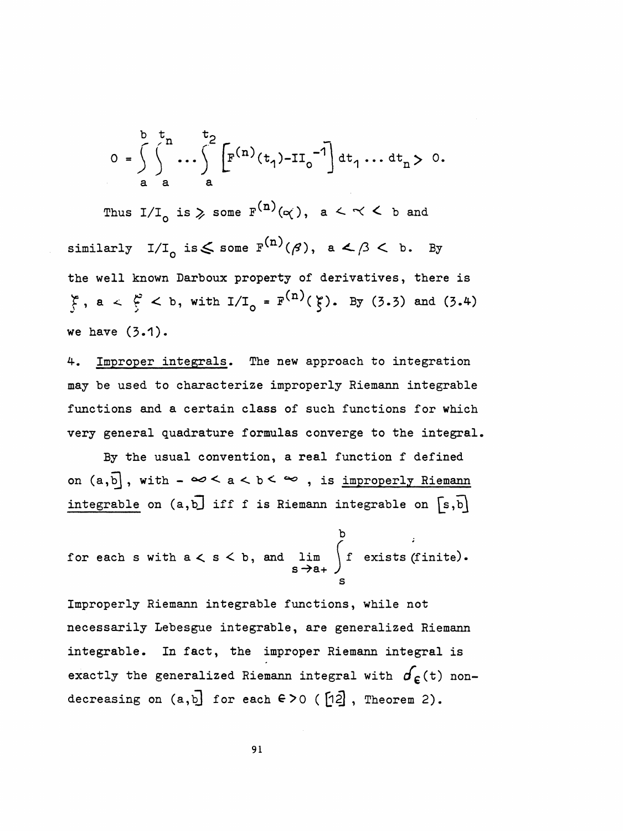$$
0 = \int_{a}^{b} \int_{a}^{t} \cdots \int_{a}^{t} \left[ F^{(n)}(t_1) - II_0^{-1} \right] dt_1 \cdots dt_n > 0.
$$

a a a a<br>Thus  $I/I_0$  is  $\geq$  some  $F^{(n)}(\alpha)$ , a  $\lt \lt \lt \lt \gt$  and. Thus  $I/I_0$  is  $\geq$  some  $F^{(n)}(\alpha)$ , a  $\lt \lt \lt \lt \gt$  and<br>similarly  $I/I_0$  is  $\leq$  some  $F^{(n)}(\beta)$ , a  $\lt \beta \lt \gt b$ . By the well known Darboux property of derivatives, there is  $f, a < f^c$  < b, with  $I/I_0 = F^{(n)}(f)$ . By (3.3) and (3.4) we have  $(3.1)$ .

 4. Improper integrals. The new approach to integration may be used to characterize improperly Riemann integrable functions and a certain class of such functions for which very general quadrature formulas converge to the integral.

 By the usual convention, a real function f defined on  $(a, b]$ , with  $-\infty < a < b < \infty$ , is improperly Riemann integrable on  $(a, b)$  iff f is Riemann integrable on  $[s, b]$ 

for each s with 
$$
a < s < b
$$
, and  $\lim_{s \to a_+} \int_s^b e$  exists (finite).

 Improperly Riemann integrable functions, while not necessarily Lebesgue integrable, are generalized Riemann integrable. In fact, the improper Riemann integral is exactly the generalized Riemann integral with  $d_{\epsilon}$ (t) nondecreasing on  $(a, b]$  for each  $\epsilon > 0$  ( $\lceil n/2 \rceil$ , Theorem 2).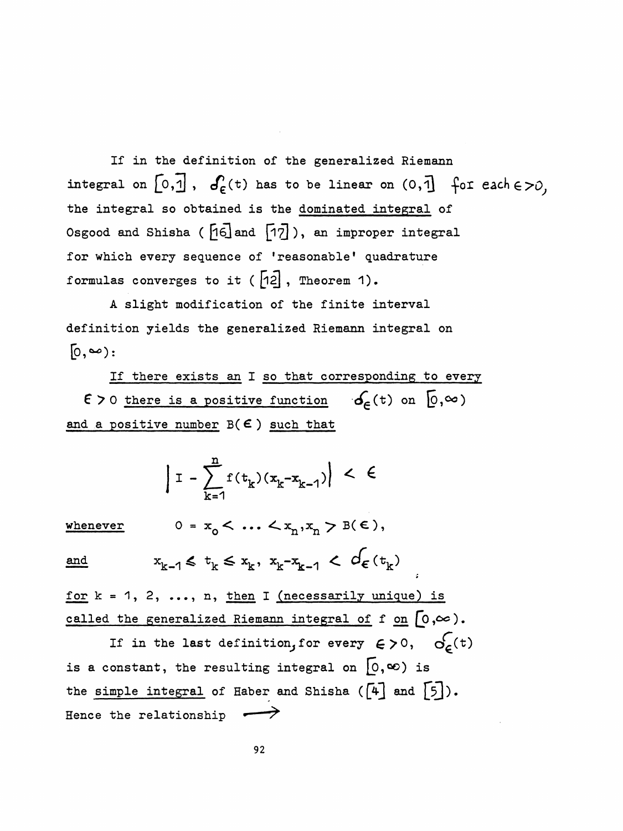If in the definition of the generalized Riemann integral on  $[0, \overline{1}]$ ,  $\sigma_{\epsilon}^{(t)}$  has to be linear on  $(0, \overline{1}]$  for each  $\epsilon > 0$ , the integral so obtained is the dominated integral of Osgood and Shisha ( [16] and [17]), an improper integral for which every sequence of 'reasonable' quadrature formulas converges to it ( $\begin{bmatrix} 12 \end{bmatrix}$ , Theorem 1).

A slight modification of the finite interval definition yields the generalized Riemann integral on  $[0, \infty)$ :

If there exists an I so that corresponding to every  $\epsilon > 0$  there is a positive function  $\delta_{\epsilon}(t)$  on  $[0,\infty)$ and a positive number  $B(E)$  such that

$$
| I - \sum_{k=1}^{n} f(t_k)(x_k - x_{k-1}) | < \epsilon
$$

 $0 = x_0 < ... < x_n, x_n > B(\epsilon),$ whenever

 $x_{k-1} \leq t_k \leq x_k, x_{k-1} \leq d_{\epsilon}(t_k)$ and

for  $k = 1, 2, ..., n$ , then I (necessarily unique) is called the generalized Riemann integral of f on  $[0,\infty)$ .

If in the last definition, for every  $\epsilon > 0$ ,  $\sigma_{\epsilon}(\tau)$ is a constant, the resulting integral on  $[0, \infty)$  is the simple integral of Haber and Shisha  $([4]$  and  $[5])$ . Hence the relationship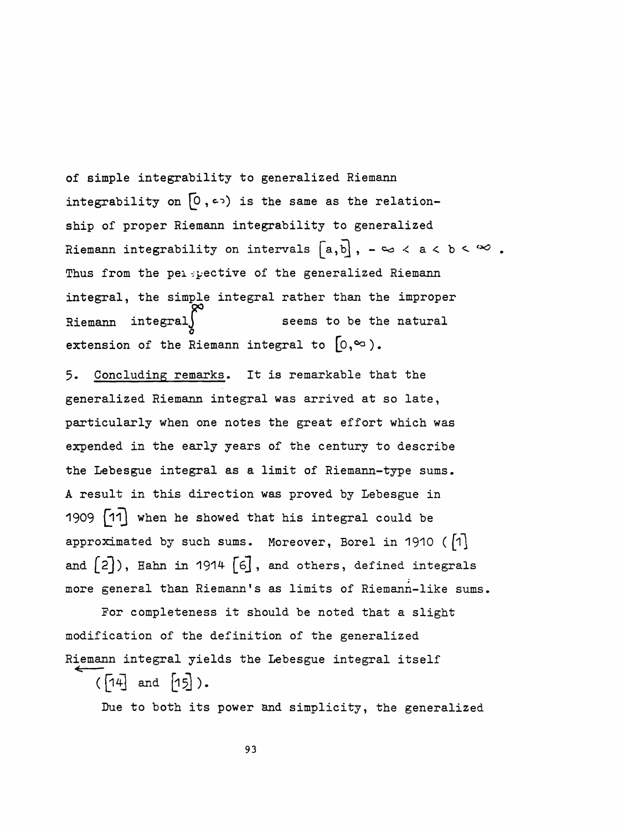of simple integrability to generalized Riemann integrability on  $[0, \infty)$  is the same as the relation ship of proper Riemann integrability to generalized Riemann integrability on intervals  $[a,b]$ ,  $-\infty < a < b < \infty$ . Thus from the pei -pective of the generalized Riemann integral, the simple integral rather than the improper Riemann integral $\int$  seems to be the natural 0 extension of the Riemann integral to

 5. Concluding remarks. It is remarkable that the generalized Riemann integral was arrived at so late, particularly when one notes the great effort which was expended in the early years of the century to describe the Lebesgue integral as a limit of Riemann-type sums. A result in this direction was proved by Lebesgue in 1909 when he showed that his integral could be approximated by such sums. Moreover, Borel in 1910 ( $\lceil 1 \rceil$ and  $[2]$ ), Hahn in 1914  $[6]$ , and others, defined integrals more general than Riemann's as limits of Riemann-like sums.

 For completeness it should be noted that a slight modification of the definition of the generalized Riemann integral yields the Lebesgue integral itself

 $([14]$  and  $[15]$ ).

Due to both its power and simplicity, the generalized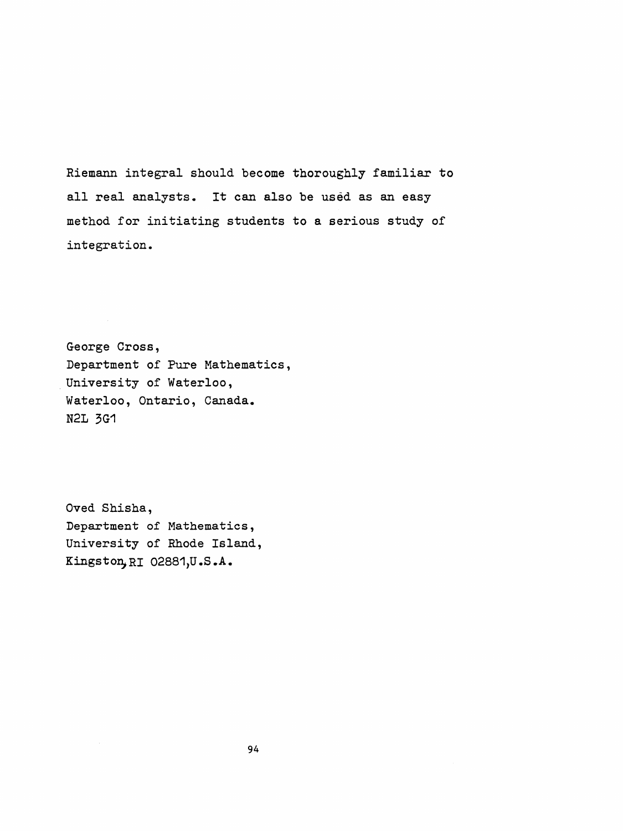Riemann integral should become thoroughly familiar to all real analysts. It can also be used as an easy method for initiating students to a serious study of integration.

 George Cross, Department of Pure Mathematics, University of Waterloo, Waterloo, Ontario, Canada. N2L 3G1

 Oved Shisha, Department of Mathematics , University of Rhode Island, Kingston, ri 02881,U.S.A.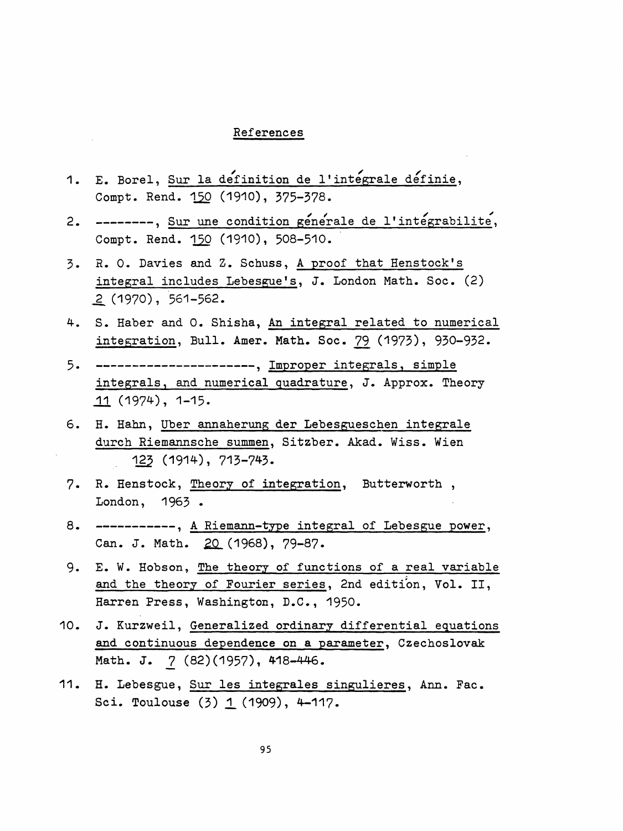## References

- References<br>1. E. Borel, <u>Sur la definition de l'integrale definie</u>, Compt. Rend. 150 (1910), 375-378.
- --------, Sur une condition générale de l'intégrabilité, 2. Compt. Rend. 150 (1910), 508-510.
- 3. R. 0. Davies and Z. Schuss, A proof that Henstock's integral includes Lebesgue's, J. London Math. Soc. (2) \_2 (1970), 561-562.
- 4. S. Haber and 0. Shisha, An integral related to numerical integration, Bull. Amer. Math. Soc. 79 (1973), 930-932.
- 5. ---------------------, Improper integrals, simple integrals, and numerical quadrature, J. Approx. Theory 11 (1974), 1-15.
- 6. H. Hahn, Uber annaherung der Lebesgueschen integrale durch Riemannsche summen, Sitzber. Akad. Wiss. Wien 125 (1914), 713-743.
- 7. R. Henstock, Theory of integration, Butterworth , London, 1963 •
- -----------, A Riemann-type integral of Lebesgue power, 8. Can. J. Math. 20 (1968), 79-87.
- 9. E. W. Hobson, The theory of functions of a real variable and the theory of Fourier series, 2nd edition, Vol. II, Harren Press, Washington, D.C., 1950.
- 10. J. Kurzweil, Generalized ordinary differential equations and continuous dependence on a parameter, Czechoslovak Math. J. 7 (82) (1957), 418-446.
- 11. H. Lebesgue, Sur les integrales singulières, Ann. Fac. Sci. Toulouse  $(3)$   $1$   $(1909)$ , 4-117.